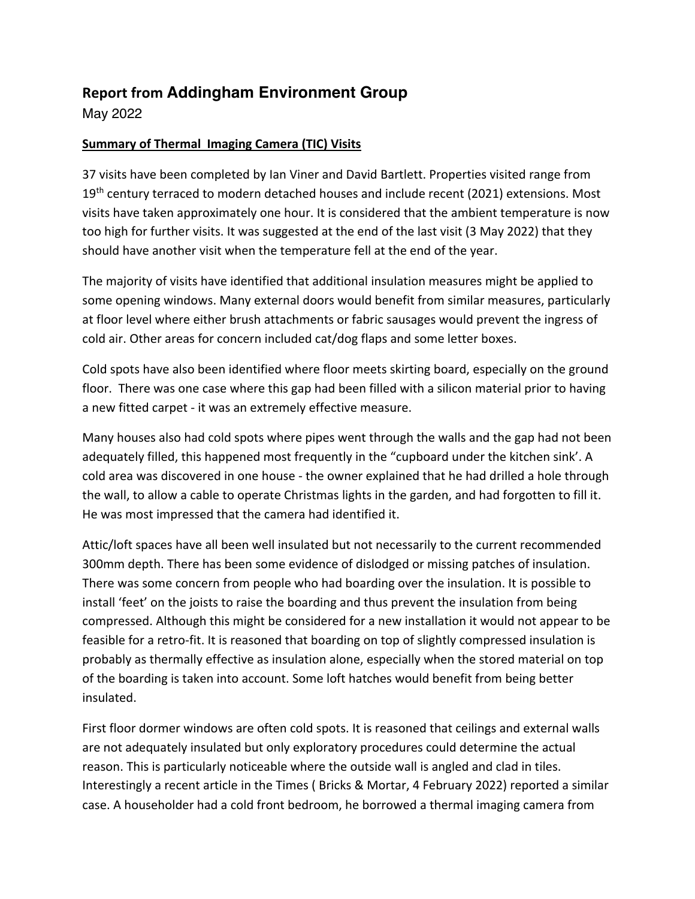## **Report from Addingham Environment Group**

May 2022

## **Summary of Thermal Imaging Camera (TIC) Visits**

37 visits have been completed by Ian Viner and David Bartlett. Properties visited range from 19<sup>th</sup> century terraced to modern detached houses and include recent (2021) extensions. Most visits have taken approximately one hour. It is considered that the ambient temperature is now too high for further visits. It was suggested at the end of the last visit (3 May 2022) that they should have another visit when the temperature fell at the end of the year.

The majority of visits have identified that additional insulation measures might be applied to some opening windows. Many external doors would benefit from similar measures, particularly at floor level where either brush attachments or fabric sausages would prevent the ingress of cold air. Other areas for concern included cat/dog flaps and some letter boxes.

Cold spots have also been identified where floor meets skirting board, especially on the ground floor. There was one case where this gap had been filled with a silicon material prior to having a new fitted carpet - it was an extremely effective measure.

Many houses also had cold spots where pipes went through the walls and the gap had not been adequately filled, this happened most frequently in the "cupboard under the kitchen sink'. A cold area was discovered in one house - the owner explained that he had drilled a hole through the wall, to allow a cable to operate Christmas lights in the garden, and had forgotten to fill it. He was most impressed that the camera had identified it.

Attic/loft spaces have all been well insulated but not necessarily to the current recommended 300mm depth. There has been some evidence of dislodged or missing patches of insulation. There was some concern from people who had boarding over the insulation. It is possible to install 'feet' on the joists to raise the boarding and thus prevent the insulation from being compressed. Although this might be considered for a new installation it would not appear to be feasible for a retro-fit. It is reasoned that boarding on top of slightly compressed insulation is probably as thermally effective as insulation alone, especially when the stored material on top of the boarding is taken into account. Some loft hatches would benefit from being better insulated.

First floor dormer windows are often cold spots. It is reasoned that ceilings and external walls are not adequately insulated but only exploratory procedures could determine the actual reason. This is particularly noticeable where the outside wall is angled and clad in tiles. Interestingly a recent article in the Times ( Bricks & Mortar, 4 February 2022) reported a similar case. A householder had a cold front bedroom, he borrowed a thermal imaging camera from